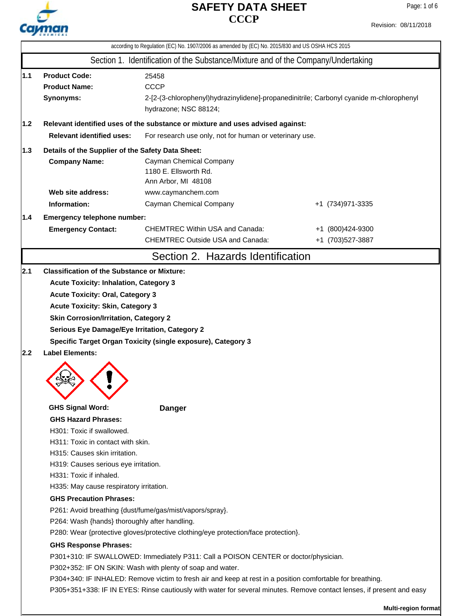

|                                                                                       |                                                                                                                                                                                                                                                                               | according to Regulation (EC) No. 1907/2006 as amended by (EC) No. 2015/830 and US OSHA HCS 2015                                                                                                                                                                                                                                                                                         |                                       |  |  |  |  |  |
|---------------------------------------------------------------------------------------|-------------------------------------------------------------------------------------------------------------------------------------------------------------------------------------------------------------------------------------------------------------------------------|-----------------------------------------------------------------------------------------------------------------------------------------------------------------------------------------------------------------------------------------------------------------------------------------------------------------------------------------------------------------------------------------|---------------------------------------|--|--|--|--|--|
|                                                                                       |                                                                                                                                                                                                                                                                               | Section 1. Identification of the Substance/Mixture and of the Company/Undertaking                                                                                                                                                                                                                                                                                                       |                                       |  |  |  |  |  |
| 1.1                                                                                   | <b>Product Code:</b><br>25458<br><b>CCCP</b><br><b>Product Name:</b><br>Synonyms:<br>2-[2-(3-chlorophenyl)hydrazinylidene]-propanedinitrile; Carbonyl cyanide m-chlorophenyl<br>hydrazone; NSC 88124;                                                                         |                                                                                                                                                                                                                                                                                                                                                                                         |                                       |  |  |  |  |  |
| 1.2<br>Relevant identified uses of the substance or mixture and uses advised against: |                                                                                                                                                                                                                                                                               |                                                                                                                                                                                                                                                                                                                                                                                         |                                       |  |  |  |  |  |
|                                                                                       | <b>Relevant identified uses:</b>                                                                                                                                                                                                                                              | For research use only, not for human or veterinary use.                                                                                                                                                                                                                                                                                                                                 |                                       |  |  |  |  |  |
|                                                                                       |                                                                                                                                                                                                                                                                               |                                                                                                                                                                                                                                                                                                                                                                                         |                                       |  |  |  |  |  |
|                                                                                       | 1.3 <br>Details of the Supplier of the Safety Data Sheet:<br><b>Company Name:</b><br>Cayman Chemical Company<br>1180 E. Ellsworth Rd.<br>Ann Arbor, MI 48108                                                                                                                  |                                                                                                                                                                                                                                                                                                                                                                                         |                                       |  |  |  |  |  |
|                                                                                       | Web site address:                                                                                                                                                                                                                                                             | www.caymanchem.com                                                                                                                                                                                                                                                                                                                                                                      |                                       |  |  |  |  |  |
|                                                                                       | Information:                                                                                                                                                                                                                                                                  | Cayman Chemical Company                                                                                                                                                                                                                                                                                                                                                                 | +1 (734) 971-3335                     |  |  |  |  |  |
| 1.4                                                                                   | Emergency telephone number:<br><b>Emergency Contact:</b>                                                                                                                                                                                                                      | <b>CHEMTREC Within USA and Canada:</b><br><b>CHEMTREC Outside USA and Canada:</b>                                                                                                                                                                                                                                                                                                       | +1 (800)424-9300<br>+1 (703) 527-3887 |  |  |  |  |  |
|                                                                                       |                                                                                                                                                                                                                                                                               | Section 2. Hazards Identification                                                                                                                                                                                                                                                                                                                                                       |                                       |  |  |  |  |  |
| 2.2                                                                                   | <b>Acute Toxicity: Oral, Category 3</b><br><b>Acute Toxicity: Skin, Category 3</b><br><b>Skin Corrosion/Irritation, Category 2</b><br>Serious Eye Damage/Eye Irritation, Category 2<br>Specific Target Organ Toxicity (single exposure), Category 3<br><b>Label Elements:</b> |                                                                                                                                                                                                                                                                                                                                                                                         |                                       |  |  |  |  |  |
|                                                                                       | <b>GHS Signal Word:</b>                                                                                                                                                                                                                                                       | <b>Danger</b>                                                                                                                                                                                                                                                                                                                                                                           |                                       |  |  |  |  |  |
|                                                                                       | <b>GHS Hazard Phrases:</b><br>H301: Toxic if swallowed.<br>H311: Toxic in contact with skin.<br>H315: Causes skin irritation.<br>H319: Causes serious eye irritation.<br>H331: Toxic if inhaled.<br>H335: May cause respiratory irritation.                                   |                                                                                                                                                                                                                                                                                                                                                                                         |                                       |  |  |  |  |  |
|                                                                                       | <b>GHS Precaution Phrases:</b><br>P261: Avoid breathing {dust/fume/gas/mist/vapors/spray}.                                                                                                                                                                                    |                                                                                                                                                                                                                                                                                                                                                                                         |                                       |  |  |  |  |  |
|                                                                                       | P264: Wash {hands} thoroughly after handling.<br>P280: Wear {protective gloves/protective clothing/eye protection/face protection}.<br><b>GHS Response Phrases:</b>                                                                                                           |                                                                                                                                                                                                                                                                                                                                                                                         |                                       |  |  |  |  |  |
|                                                                                       |                                                                                                                                                                                                                                                                               | P301+310: IF SWALLOWED: Immediately P311: Call a POISON CENTER or doctor/physician.<br>P302+352: IF ON SKIN: Wash with plenty of soap and water.<br>P304+340: IF INHALED: Remove victim to fresh air and keep at rest in a position comfortable for breathing.<br>P305+351+338: IF IN EYES: Rinse cautiously with water for several minutes. Remove contact lenses, if present and easy |                                       |  |  |  |  |  |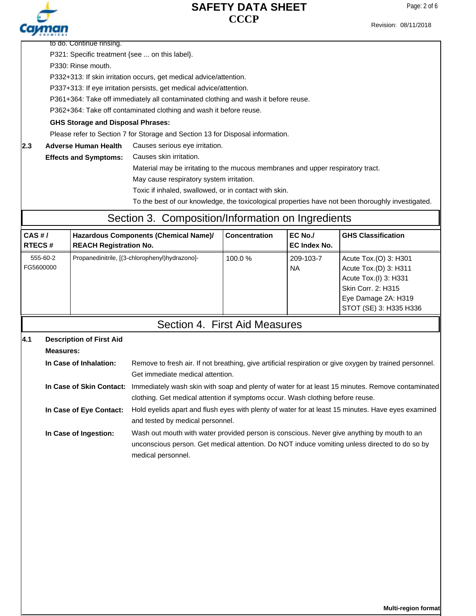

Page: 2 of 6

| P321: Specific treatment {see  on this label}.                     |
|--------------------------------------------------------------------|
| P330: Rinse mouth.                                                 |
| P332+313: If skin irritation occurs, get medical advice/attention. |

to do. Continue rinsing.

P337+313: If eye irritation persists, get medical advice/attention.

P361+364: Take off immediately all contaminated clothing and wash it before reuse.

P362+364: Take off contaminated clothing and wash it before reuse.

**GHS Storage and Disposal Phrases:**

Please refer to Section 7 for Storage and Section 13 for Disposal information.

**2.3** Adverse Human Health Causes serious eye irritation. **Adverse Human Health**

> Causes skin irritation. **Effects and Symptoms:**

> > Material may be irritating to the mucous membranes and upper respiratory tract.

May cause respiratory system irritation.

Toxic if inhaled, swallowed, or in contact with skin.

To the best of our knowledge, the toxicological properties have not been thoroughly investigated.

## Section 3. Composition/Information on Ingredients

| CAS H/<br><b>RTECS#</b> | Hazardous Components (Chemical Name)/<br><b>REACH Registration No.</b> | <b>Concentration</b> | EC No./<br>EC Index No. | <b>GHS Classification</b>                                                                                                                      |
|-------------------------|------------------------------------------------------------------------|----------------------|-------------------------|------------------------------------------------------------------------------------------------------------------------------------------------|
| 555-60-2<br>FG5600000   | Propanedinitrile, [(3-chlorophenyl)hydrazono]-                         | $100.0\%$            | 209-103-7<br><b>NA</b>  | Acute Tox.(O) 3: H301<br>Acute Tox.(D) 3: H311<br>Acute Tox.(I) 3: H331<br>Skin Corr. 2: H315<br>Eye Damage 2A: H319<br>STOT (SE) 3: H335 H336 |

### Section 4. First Aid Measures

#### **Description of First Aid 4.1**

| Measures:               |                                                                                                                           |
|-------------------------|---------------------------------------------------------------------------------------------------------------------------|
| In Case of Inhalation:  | Remove to fresh air. If not breathing, give artificial respiration or give oxygen by trained personnel.                   |
|                         | Get immediate medical attention.                                                                                          |
|                         | In Case of Skin Contact: Immediately wash skin with soap and plenty of water for at least 15 minutes. Remove contaminated |
|                         | clothing. Get medical attention if symptoms occur. Wash clothing before reuse.                                            |
| In Case of Eye Contact: | Hold eyelids apart and flush eyes with plenty of water for at least 15 minutes. Have eyes examined                        |
|                         | and tested by medical personnel.                                                                                          |
| In Case of Ingestion:   | Wash out mouth with water provided person is conscious. Never give anything by mouth to an                                |
|                         | unconscious person. Get medical attention. Do NOT induce vomiting unless directed to do so by                             |
|                         | medical personnel.                                                                                                        |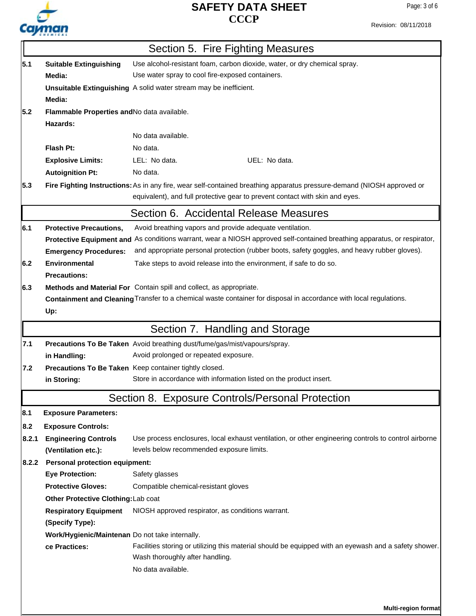# Cayman

### **CCCP SAFETY DATA SHEET**

Revision: 08/11/2018

|                                                                            |                                                                                                            | Section 5. Fire Fighting Measures                                                                                        |  |  |  |  |  |
|----------------------------------------------------------------------------|------------------------------------------------------------------------------------------------------------|--------------------------------------------------------------------------------------------------------------------------|--|--|--|--|--|
| 5.1                                                                        | Use alcohol-resistant foam, carbon dioxide, water, or dry chemical spray.<br><b>Suitable Extinguishing</b> |                                                                                                                          |  |  |  |  |  |
| Use water spray to cool fire-exposed containers.<br>Media:                 |                                                                                                            |                                                                                                                          |  |  |  |  |  |
|                                                                            |                                                                                                            | Unsuitable Extinguishing A solid water stream may be inefficient.                                                        |  |  |  |  |  |
| Media:                                                                     |                                                                                                            |                                                                                                                          |  |  |  |  |  |
| 5.2                                                                        | Flammable Properties and No data available.                                                                |                                                                                                                          |  |  |  |  |  |
|                                                                            | Hazards:                                                                                                   |                                                                                                                          |  |  |  |  |  |
|                                                                            |                                                                                                            | No data available.                                                                                                       |  |  |  |  |  |
|                                                                            | Flash Pt:                                                                                                  | No data.                                                                                                                 |  |  |  |  |  |
|                                                                            | <b>Explosive Limits:</b>                                                                                   | LEL: No data.<br>UEL: No data.                                                                                           |  |  |  |  |  |
|                                                                            | <b>Autoignition Pt:</b>                                                                                    | No data.                                                                                                                 |  |  |  |  |  |
| 5.3                                                                        |                                                                                                            | Fire Fighting Instructions: As in any fire, wear self-contained breathing apparatus pressure-demand (NIOSH approved or   |  |  |  |  |  |
|                                                                            |                                                                                                            | equivalent), and full protective gear to prevent contact with skin and eyes.                                             |  |  |  |  |  |
|                                                                            |                                                                                                            | Section 6. Accidental Release Measures                                                                                   |  |  |  |  |  |
| 6.1                                                                        | <b>Protective Precautions,</b>                                                                             | Avoid breathing vapors and provide adequate ventilation.                                                                 |  |  |  |  |  |
|                                                                            |                                                                                                            | Protective Equipment and As conditions warrant, wear a NIOSH approved self-contained breathing apparatus, or respirator, |  |  |  |  |  |
|                                                                            | <b>Emergency Procedures:</b>                                                                               | and appropriate personal protection (rubber boots, safety goggles, and heavy rubber gloves).                             |  |  |  |  |  |
| 6.2                                                                        | <b>Environmental</b>                                                                                       | Take steps to avoid release into the environment, if safe to do so.                                                      |  |  |  |  |  |
|                                                                            | <b>Precautions:</b>                                                                                        |                                                                                                                          |  |  |  |  |  |
| 6.3<br>Methods and Material For Contain spill and collect, as appropriate. |                                                                                                            |                                                                                                                          |  |  |  |  |  |
|                                                                            |                                                                                                            | Containment and Cleaning Transfer to a chemical waste container for disposal in accordance with local regulations.       |  |  |  |  |  |
|                                                                            | Up:                                                                                                        |                                                                                                                          |  |  |  |  |  |
|                                                                            |                                                                                                            | Section 7. Handling and Storage                                                                                          |  |  |  |  |  |
| 7.1                                                                        | Precautions To Be Taken Avoid breathing dust/fume/gas/mist/vapours/spray.                                  |                                                                                                                          |  |  |  |  |  |
|                                                                            | Avoid prolonged or repeated exposure.<br>in Handling:                                                      |                                                                                                                          |  |  |  |  |  |
| 7.2                                                                        |                                                                                                            | Precautions To Be Taken Keep container tightly closed.                                                                   |  |  |  |  |  |
|                                                                            | in Storing:                                                                                                | Store in accordance with information listed on the product insert.                                                       |  |  |  |  |  |
|                                                                            |                                                                                                            | Section 8. Exposure Controls/Personal Protection                                                                         |  |  |  |  |  |
| 8.1                                                                        | <b>Exposure Parameters:</b>                                                                                |                                                                                                                          |  |  |  |  |  |
| 8.2                                                                        | <b>Exposure Controls:</b>                                                                                  |                                                                                                                          |  |  |  |  |  |
| 8.2.1                                                                      | <b>Engineering Controls</b>                                                                                | Use process enclosures, local exhaust ventilation, or other engineering controls to control airborne                     |  |  |  |  |  |
|                                                                            | (Ventilation etc.):                                                                                        | levels below recommended exposure limits.                                                                                |  |  |  |  |  |
| 8.2.2                                                                      | <b>Personal protection equipment:</b>                                                                      |                                                                                                                          |  |  |  |  |  |
|                                                                            | <b>Eye Protection:</b>                                                                                     | Safety glasses                                                                                                           |  |  |  |  |  |
|                                                                            | <b>Protective Gloves:</b>                                                                                  | Compatible chemical-resistant gloves                                                                                     |  |  |  |  |  |
|                                                                            | Other Protective Clothing: Lab coat                                                                        |                                                                                                                          |  |  |  |  |  |
|                                                                            | <b>Respiratory Equipment</b>                                                                               | NIOSH approved respirator, as conditions warrant.                                                                        |  |  |  |  |  |
|                                                                            | (Specify Type):                                                                                            |                                                                                                                          |  |  |  |  |  |
|                                                                            | Work/Hygienic/Maintenan Do not take internally.                                                            |                                                                                                                          |  |  |  |  |  |
|                                                                            | ce Practices:                                                                                              | Facilities storing or utilizing this material should be equipped with an eyewash and a safety shower.                    |  |  |  |  |  |
|                                                                            |                                                                                                            | Wash thoroughly after handling.                                                                                          |  |  |  |  |  |
|                                                                            | No data available.                                                                                         |                                                                                                                          |  |  |  |  |  |
|                                                                            |                                                                                                            |                                                                                                                          |  |  |  |  |  |
|                                                                            |                                                                                                            |                                                                                                                          |  |  |  |  |  |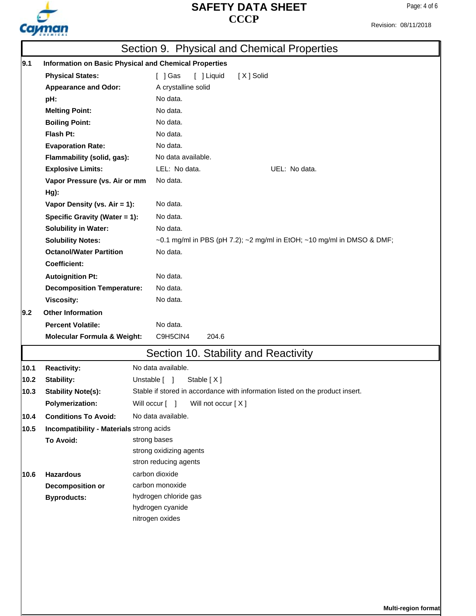

Revision: 08/11/2018

|                                                             | Section 9. Physical and Chemical Properties                  |                                                                                          |  |  |  |
|-------------------------------------------------------------|--------------------------------------------------------------|------------------------------------------------------------------------------------------|--|--|--|
| 9.1                                                         | <b>Information on Basic Physical and Chemical Properties</b> |                                                                                          |  |  |  |
|                                                             | $[$ ] Gas<br>[ ] Liquid<br>[X] Solid                         |                                                                                          |  |  |  |
|                                                             | <b>Appearance and Odor:</b>                                  | A crystalline solid                                                                      |  |  |  |
|                                                             | pH:                                                          | No data.                                                                                 |  |  |  |
|                                                             | <b>Melting Point:</b>                                        | No data.                                                                                 |  |  |  |
|                                                             | <b>Boiling Point:</b>                                        | No data.                                                                                 |  |  |  |
|                                                             | Flash Pt:                                                    | No data.                                                                                 |  |  |  |
|                                                             | <b>Evaporation Rate:</b>                                     | No data.                                                                                 |  |  |  |
|                                                             | Flammability (solid, gas):                                   | No data available.<br>LEL: No data.<br>UEL: No data.                                     |  |  |  |
|                                                             | <b>Explosive Limits:</b>                                     |                                                                                          |  |  |  |
|                                                             | Vapor Pressure (vs. Air or mm                                | No data.                                                                                 |  |  |  |
|                                                             | Hg):                                                         |                                                                                          |  |  |  |
|                                                             | Vapor Density (vs. Air = 1):                                 | No data.                                                                                 |  |  |  |
|                                                             | Specific Gravity (Water = 1):                                | No data.                                                                                 |  |  |  |
|                                                             | <b>Solubility in Water:</b>                                  | No data.                                                                                 |  |  |  |
|                                                             | <b>Solubility Notes:</b>                                     | $\sim$ 0.1 mg/ml in PBS (pH 7.2); $\sim$ 2 mg/ml in EtOH; $\sim$ 10 mg/ml in DMSO & DMF; |  |  |  |
|                                                             | <b>Octanol/Water Partition</b>                               | No data.                                                                                 |  |  |  |
|                                                             | <b>Coefficient:</b>                                          |                                                                                          |  |  |  |
|                                                             | <b>Autoignition Pt:</b>                                      | No data.                                                                                 |  |  |  |
|                                                             | <b>Decomposition Temperature:</b>                            | No data.                                                                                 |  |  |  |
|                                                             | Viscosity:                                                   | No data.                                                                                 |  |  |  |
| 9.2                                                         | <b>Other Information</b>                                     |                                                                                          |  |  |  |
|                                                             | <b>Percent Volatile:</b>                                     | No data.                                                                                 |  |  |  |
| C9H5CIN4<br>204.6<br><b>Molecular Formula &amp; Weight:</b> |                                                              |                                                                                          |  |  |  |
|                                                             |                                                              | Section 10. Stability and Reactivity                                                     |  |  |  |
| 10.1                                                        | <b>Reactivity:</b>                                           | No data available.                                                                       |  |  |  |
| 10.2                                                        | <b>Stability:</b>                                            | Unstable [ ]<br>Stable [X]                                                               |  |  |  |
| 10.3                                                        | <b>Stability Note(s):</b>                                    | Stable if stored in accordance with information listed on the product insert.            |  |  |  |
|                                                             | <b>Polymerization:</b>                                       | Will occur [ ]<br>Will not occur [X]                                                     |  |  |  |
| 10.4                                                        | <b>Conditions To Avoid:</b>                                  | No data available.                                                                       |  |  |  |
| 10.5                                                        | Incompatibility - Materials strong acids                     |                                                                                          |  |  |  |
|                                                             | To Avoid:                                                    | strong bases                                                                             |  |  |  |
|                                                             |                                                              | strong oxidizing agents                                                                  |  |  |  |
|                                                             |                                                              | stron reducing agents                                                                    |  |  |  |
| 10.6                                                        | <b>Hazardous</b>                                             | carbon dioxide                                                                           |  |  |  |
|                                                             | <b>Decomposition or</b>                                      | carbon monoxide                                                                          |  |  |  |
|                                                             | <b>Byproducts:</b>                                           | hydrogen chloride gas                                                                    |  |  |  |
|                                                             |                                                              | hydrogen cyanide<br>nitrogen oxides                                                      |  |  |  |
|                                                             |                                                              |                                                                                          |  |  |  |
|                                                             |                                                              |                                                                                          |  |  |  |
|                                                             |                                                              |                                                                                          |  |  |  |
|                                                             |                                                              |                                                                                          |  |  |  |
|                                                             |                                                              |                                                                                          |  |  |  |
|                                                             |                                                              |                                                                                          |  |  |  |
|                                                             |                                                              |                                                                                          |  |  |  |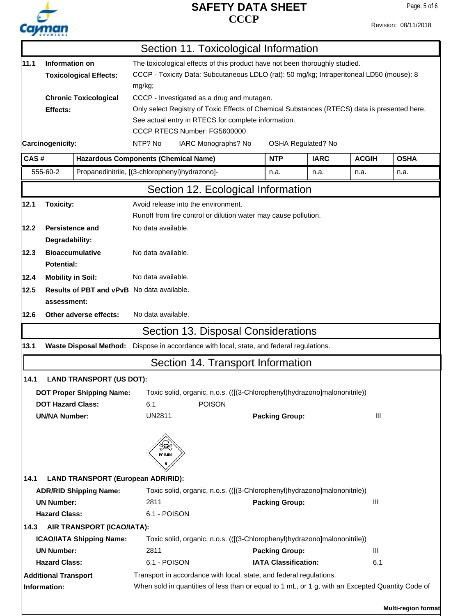

Revision: 08/11/2018

|          |                                                                                               |                                     | Section 11. Toxicological Information                                                            |                             |             |                    |                     |  |  |
|----------|-----------------------------------------------------------------------------------------------|-------------------------------------|--------------------------------------------------------------------------------------------------|-----------------------------|-------------|--------------------|---------------------|--|--|
| 11.1     | Information on<br>The toxicological effects of this product have not been thoroughly studied. |                                     |                                                                                                  |                             |             |                    |                     |  |  |
|          | <b>Toxicological Effects:</b>                                                                 |                                     | CCCP - Toxicity Data: Subcutaneous LDLO (rat): 50 mg/kg; Intraperitoneal LD50 (mouse): 8         |                             |             |                    |                     |  |  |
|          |                                                                                               | mg/kg;                              |                                                                                                  |                             |             |                    |                     |  |  |
|          | <b>Chronic Toxicological</b>                                                                  |                                     | CCCP - Investigated as a drug and mutagen.                                                       |                             |             |                    |                     |  |  |
|          | Effects:                                                                                      |                                     | Only select Registry of Toxic Effects of Chemical Substances (RTECS) data is presented here.     |                             |             |                    |                     |  |  |
|          |                                                                                               |                                     | See actual entry in RTECS for complete information.                                              |                             |             |                    |                     |  |  |
|          |                                                                                               |                                     | CCCP RTECS Number: FG5600000                                                                     |                             |             |                    |                     |  |  |
|          | Carcinogenicity:                                                                              |                                     | NTP? No<br>IARC Monographs? No                                                                   |                             |             | OSHA Regulated? No |                     |  |  |
| CAS#     |                                                                                               |                                     | <b>Hazardous Components (Chemical Name)</b>                                                      |                             | <b>IARC</b> | <b>ACGIH</b>       | <b>OSHA</b>         |  |  |
| 555-60-2 |                                                                                               |                                     | Propanedinitrile, [(3-chlorophenyl)hydrazono]-                                                   |                             | n.a.        | n.a.               | n.a.                |  |  |
|          |                                                                                               |                                     | Section 12. Ecological Information                                                               |                             |             |                    |                     |  |  |
| 12.1     | <b>Toxicity:</b>                                                                              | Avoid release into the environment. |                                                                                                  |                             |             |                    |                     |  |  |
|          |                                                                                               |                                     | Runoff from fire control or dilution water may cause pollution.                                  |                             |             |                    |                     |  |  |
| 12.2     | <b>Persistence and</b>                                                                        | No data available.                  |                                                                                                  |                             |             |                    |                     |  |  |
|          | Degradability:                                                                                |                                     |                                                                                                  |                             |             |                    |                     |  |  |
| 12.3     | <b>Bioaccumulative</b>                                                                        | No data available.                  |                                                                                                  |                             |             |                    |                     |  |  |
|          | <b>Potential:</b>                                                                             |                                     |                                                                                                  |                             |             |                    |                     |  |  |
| 12.4     | <b>Mobility in Soil:</b>                                                                      | No data available.                  |                                                                                                  |                             |             |                    |                     |  |  |
| 12.5     | <b>Results of PBT and vPvB</b> No data available.                                             |                                     |                                                                                                  |                             |             |                    |                     |  |  |
|          | assessment:                                                                                   |                                     |                                                                                                  |                             |             |                    |                     |  |  |
| 12.6     | Other adverse effects:                                                                        | No data available.                  |                                                                                                  |                             |             |                    |                     |  |  |
|          |                                                                                               |                                     | Section 13. Disposal Considerations                                                              |                             |             |                    |                     |  |  |
| 13.1     | Waste Disposal Method: Dispose in accordance with local, state, and federal regulations.      |                                     |                                                                                                  |                             |             |                    |                     |  |  |
|          |                                                                                               |                                     |                                                                                                  |                             |             |                    |                     |  |  |
|          |                                                                                               |                                     | Section 14. Transport Information                                                                |                             |             |                    |                     |  |  |
| 14.1     | <b>LAND TRANSPORT (US DOT):</b>                                                               |                                     |                                                                                                  |                             |             |                    |                     |  |  |
|          | <b>DOT Proper Shipping Name:</b>                                                              |                                     | Toxic solid, organic, n.o.s. (([(3-Chlorophenyl)hydrazono]malononitrile))                        |                             |             |                    |                     |  |  |
|          | <b>DOT Hazard Class:</b>                                                                      | 6.1                                 | <b>POISON</b>                                                                                    |                             |             |                    |                     |  |  |
|          | <b>UN/NA Number:</b>                                                                          | <b>UN2811</b>                       |                                                                                                  | <b>Packing Group:</b>       |             | III                |                     |  |  |
|          |                                                                                               |                                     |                                                                                                  |                             |             |                    |                     |  |  |
|          |                                                                                               | POISON                              |                                                                                                  |                             |             |                    |                     |  |  |
| 14.1     | <b>LAND TRANSPORT (European ADR/RID):</b>                                                     |                                     |                                                                                                  |                             |             |                    |                     |  |  |
|          | <b>ADR/RID Shipping Name:</b>                                                                 |                                     | Toxic solid, organic, n.o.s. (([(3-Chlorophenyl)hydrazono]malononitrile))                        |                             |             |                    |                     |  |  |
|          | <b>UN Number:</b>                                                                             | 2811                                |                                                                                                  | <b>Packing Group:</b>       |             | Ш                  |                     |  |  |
|          | <b>Hazard Class:</b>                                                                          | 6.1 - POISON                        |                                                                                                  |                             |             |                    |                     |  |  |
| 14.3     | AIR TRANSPORT (ICAO/IATA):                                                                    |                                     |                                                                                                  |                             |             |                    |                     |  |  |
|          | <b>ICAO/IATA Shipping Name:</b>                                                               |                                     | Toxic solid, organic, n.o.s. (([(3-Chlorophenyl)hydrazono]malononitrile))                        |                             |             |                    |                     |  |  |
|          | <b>UN Number:</b>                                                                             | 2811                                |                                                                                                  | <b>Packing Group:</b>       |             | III                |                     |  |  |
|          | <b>Hazard Class:</b>                                                                          | 6.1 - POISON                        |                                                                                                  | <b>IATA Classification:</b> |             | 6.1                |                     |  |  |
|          | <b>Additional Transport</b>                                                                   |                                     | Transport in accordance with local, state, and federal regulations.                              |                             |             |                    |                     |  |  |
|          | Information:                                                                                  |                                     | When sold in quantities of less than or equal to 1 mL, or 1 g, with an Excepted Quantity Code of |                             |             |                    |                     |  |  |
|          |                                                                                               |                                     |                                                                                                  |                             |             |                    |                     |  |  |
|          |                                                                                               |                                     |                                                                                                  |                             |             |                    | Multi-region format |  |  |